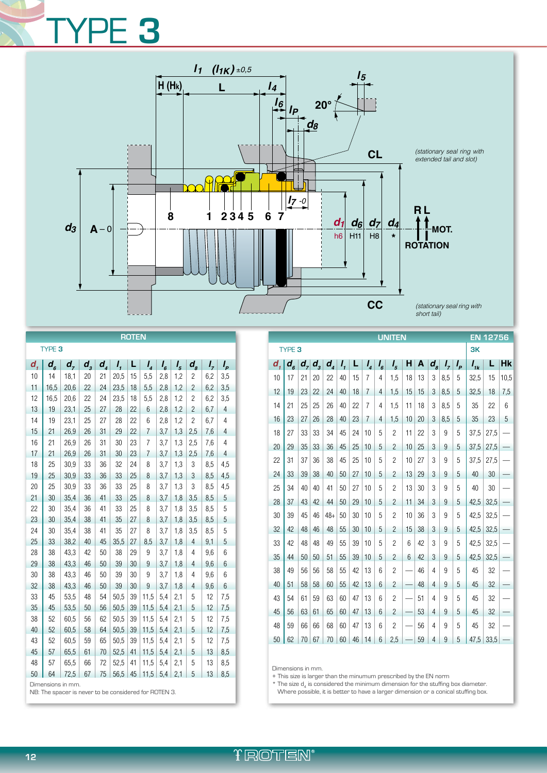## TYPE **3**



| <b>ROTEN</b>      |                                |                                                                            |                   |                            |      |    |                |         |         |                            |     |                |
|-------------------|--------------------------------|----------------------------------------------------------------------------|-------------------|----------------------------|------|----|----------------|---------|---------|----------------------------|-----|----------------|
| TYPE <sub>3</sub> |                                |                                                                            |                   |                            |      |    |                |         |         |                            |     |                |
| d,                | $d_{\scriptscriptstyle\kappa}$ | $d_{7}$                                                                    | $d_{\frac{3}{2}}$ | $d_{\scriptscriptstyle A}$ | I,   | L  | $I_{4}$        | $I_{6}$ | $I_{5}$ | $d_{\scriptscriptstyle S}$ | I,  | $I_{p}$        |
| 10                | 14                             | 18,1                                                                       | 20                | 21                         | 20,5 | 15 | 5,5            | 2,8     | 1,2     | $\overline{c}$             | 6,2 | 3,5            |
| 11                | 16,5                           | 20,6                                                                       | 22                | 24                         | 23,5 | 18 | 5,5            | 2,8     | 1,2     | $\overline{c}$             | 6,2 | 3,5            |
| 12                | 16,5                           | 20,6                                                                       | 22                | 24                         | 23,5 | 18 | 5,5            | 2,8     | 1,2     | $\overline{c}$             | 6,2 | 3,5            |
| 13                | 19                             | 23,1                                                                       | 25                | 27                         | 28   | 22 | 6              | 2,8     | 1,2     | $\overline{c}$             | 6,7 | 4              |
| 14                | 19                             | 23,1                                                                       | 25                | 27                         | 28   | 22 | 6              | 2,8     | 1,2     | $\overline{c}$             | 6,7 | 4              |
| 15                | 21                             | 26,9                                                                       | 26                | 31                         | 29   | 22 | $\overline{7}$ | 3,7     | 1,3     | 2,5                        | 7,6 | 4              |
| 16                | 21                             | 26,9                                                                       | 26                | 31                         | 30   | 23 | 7              | 3,7     | 1,3     | 2,5                        | 7,6 | 4              |
| 17                | 21                             | 26,9                                                                       | 26                | 31                         | 30   | 23 | $\overline{7}$ | 3,7     | 1,3     | 2,5                        | 7,6 | $\overline{4}$ |
| 18                | 25                             | 30,9                                                                       | 33                | 36                         | 32   | 24 | 8              | 3,7     | 1,3     | 3                          | 8,5 | 4,5            |
| 19                | 25                             | 30,9                                                                       | 33                | 36                         | 33   | 25 | 8              | 3,7     | 1,3     | 3                          | 8,5 | 4,5            |
| 20                | 25                             | 30,9                                                                       | 33                | 36                         | 33   | 25 | 8              | 3,7     | 1,3     | 3                          | 8,5 | 4,5            |
| 21                | 30                             | 35,4                                                                       | 36                | 41                         | 33   | 25 | 8              | 3,7     | 1,8     | 3,5                        | 8,5 | $\overline{5}$ |
| 22                | 30                             | 35,4                                                                       | 36                | 41                         | 33   | 25 | 8              | 3,7     | 1,8     | 3,5                        | 8,5 | 5              |
| 23                | 30                             | 35,4                                                                       | 38                | 41                         | 35   | 27 | 8              | 3,7     | 1,8     | 3,5                        | 8,5 | 5              |
| 24                | 30                             | 35,4                                                                       | 38                | 41                         | 35   | 27 | 8              | 3,7     | 1,8     | 3,5                        | 8,5 | 5              |
| 25                | 33                             | 38,2                                                                       | 40                | 45                         | 35,5 | 27 | 8,5            | 3,7     | 1,8     | $\overline{4}$             | 9,1 | 5              |
| 28                | 38                             | 43,3                                                                       | 42                | 50                         | 38   | 29 | 9              | 3,7     | 1,8     | $\overline{4}$             | 9,6 | 6              |
| 29                | 38                             | 43,3                                                                       | 46                | 50                         | 39   | 30 | 9              | 3,7     | 1,8     | 4                          | 9,6 | 6              |
| 30                | 38                             | 43,3                                                                       | 46                | 50                         | 39   | 30 | 9              | 3,7     | 1,8     | $\overline{4}$             | 9,6 | 6              |
| 32                | 38                             | 43,3                                                                       | 46                | 50                         | 39   | 30 | 9              | 3,7     | 1,8     | 4                          | 9,6 | 6              |
| 33                | 45                             | 53,5                                                                       | 48                | 54                         | 50,5 | 39 | 11,5           | 5,4     | 2,1     | 5                          | 12  | 7,5            |
| 35                | 45                             | 53,5                                                                       | 50                | 56                         | 50,5 | 39 | 11,5           | 5,4     | 2,1     | 5                          | 12  | 7,5            |
| 38                | 52                             | 60,5                                                                       | 56                | 62                         | 50,5 | 39 | 11,5           | 5,4     | 2,1     | 5                          | 12  | 7,5            |
| 40                | 52                             | 60,5                                                                       | 58                | 64                         | 50,5 | 39 | 11,5           | 5,4     | 2,1     | 5                          | 12  | 7,5            |
| 43                | 52                             | 60,5                                                                       | 59                | 65                         | 50,5 | 39 | 11,5           | 5,4     | 2,1     | 5                          | 12  | 7,5            |
| 45                | 57                             | 65,5                                                                       | 61                | 70                         | 52,5 | 41 | 11,5           | 5,4     | 2,1     | 5                          | 13  | 8,5            |
| 48                | 57                             | 65,5                                                                       | 66                | 72                         | 52,5 | 41 | 11,5           | 5,4     | 2,1     | 5                          | 13  | 8,5            |
| 50                | 64                             | 72,5                                                                       | 67                | 75                         | 56,5 | 45 | 11,5           | 5,4     | 2,1     | 5                          | 13  | 8,5            |
|                   |                                | Dimensions in mm.<br>NB: The spacer is never to be considered for ROTEN 3. |                   |                            |      |    |                |         |         |                            |     |                |

| <b>UNITEN</b>     |              |                         |         |                                        |                            |    |                |                | <b>EN 12756</b> |                          |    |         |         |         |          |      |                          |
|-------------------|--------------|-------------------------|---------|----------------------------------------|----------------------------|----|----------------|----------------|-----------------|--------------------------|----|---------|---------|---------|----------|------|--------------------------|
| TYPE <sub>3</sub> |              |                         |         |                                        |                            |    |                |                |                 | 3K                       |    |         |         |         |          |      |                          |
| d,                | $d_{\kappa}$ | $\boldsymbol{d}_{\tau}$ | $d_{3}$ | $\vert d_{\scriptscriptstyle A} \vert$ | $I_{\scriptscriptstyle 1}$ | L  | $I_{4}$        | $I_{6}$        | I <sub>5</sub>  | н                        | A  | $d_{s}$ | $I_{7}$ | $I_{p}$ | $I_{ik}$ | L    | <b>Hk</b>                |
| 10                | 17           | 21                      | 20      | 22                                     | 40                         | 15 | $\overline{7}$ | $\overline{4}$ | 1,5             | 18                       | 13 | 3       | 8,5     | 5       | 32,5     | 15   | 10,5                     |
| 12                | 19           | 23                      | 22      | 24                                     | 40                         | 18 | $\overline{7}$ | 4              | 1,5             | 15                       | 15 | 3       | 8,5     | 5       | 32,5     | 18   | 7,5                      |
| 14                | 21           | 25                      | 25      | 26                                     | 40                         | 22 | $\overline{7}$ | 4              | 1,5             | 11                       | 18 | 3       | 8,5     | 5       | 35       | 22   | 6                        |
| 16                | 23           | 27                      | 26      | 28                                     | 40                         | 23 | $\overline{7}$ | 4              | 1,5             | 10                       | 20 | 3       | 8,5     | 5       | 35       | 23   | 5                        |
| 18                | 27           | 33                      | 33      | 34                                     | 45                         | 24 | 10             | 5              | $\overline{c}$  | 11                       | 22 | 3       | 9       | 5       | 37,5     | 27,5 |                          |
| 20                | 29           | 35                      | 33      | 36                                     | 45                         | 25 | 10             | 5              | $\overline{2}$  | 10                       | 25 | 3       | 9       | 5       | 37,5     | 27,5 | $\overline{\phantom{0}}$ |
| 22                | 31           | 37                      | 36      | 38                                     | 45                         | 25 | 10             | 5              | $\overline{c}$  | 10                       | 27 | 3       | 9       | 5       | 37.5     | 27,5 |                          |
| 24                | 33           | 39                      | 38      | 40                                     | 50                         | 27 | 10             | 5              | $\overline{2}$  | 13                       | 29 | 3       | 9       | 5       | 40       | 30   | $\equiv$                 |
| 25                | 34           | 40                      | 40      | 41                                     | 50                         | 27 | 10             | 5              | $\overline{c}$  | 13                       | 30 | 3       | 9       | 5       | 40       | 30   |                          |
| 28                | 37           | 43                      | 42      | 44                                     | 50                         | 29 | 10             | 5              | $\overline{2}$  | 11                       | 34 | 3       | 9       | 5       | 42,5     | 32,5 | —                        |
| 30                | 39           | 45                      | 46      | $48 +$                                 | 50                         | 30 | 10             | 5              | $\overline{c}$  | 10                       | 36 | 3       | 9       | 5       | 42.5     | 32,5 |                          |
| 32                | 42           | 48                      | 46      | 48                                     | 55                         | 30 | 10             | 5              | $\overline{2}$  | 15                       | 38 | 3       | 9       | 5       | 42,5     | 32,5 |                          |
| 33                | 42           | 48                      | 48      | 49                                     | 55                         | 39 | 10             | 5              | $\overline{c}$  | 6                        | 42 | 3       | 9       | 5       | 42,5     | 32,5 |                          |
| 35                | 44           | 50                      | 50      | 51                                     | 55                         | 39 | 10             | 5              | $\overline{2}$  | 6                        | 42 | 3       | 9       | 5       | 42,5     | 32,5 | —                        |
| 38                | 49           | 56                      | 56      | 58                                     | 55                         | 42 | 13             | 6              | $\overline{c}$  |                          | 46 | 4       | 9       | 5       | 45       | 32   |                          |
| 40                | 51           | 58                      | 58      | 60                                     | 55                         | 42 | 13             | 6              | $\overline{2}$  | $\overline{\phantom{0}}$ | 48 | 4       | 9       | 5       | 45       | 32   |                          |
| 43                | 54           | 61                      | 59      | 63                                     | 60                         | 47 | 13             | 6              | $\overline{c}$  |                          | 51 | 4       | 9       | 5       | 45       | 32   |                          |
| 45                | 56           | 63                      | 61      | 65                                     | 60                         | 47 | 13             | 6              | $\overline{2}$  | $\overline{\phantom{0}}$ | 53 | 4       | 9       | 5       | 45       | 32   | $\overline{\phantom{0}}$ |
| 48                | 59           | 66                      | 66      | 68                                     | 60                         | 47 | 13             | 6              | $\overline{c}$  |                          | 56 | 4       | 9       | 5       | 45       | 32   |                          |
| 50                | 62           | 70                      | 67      | 70                                     | 60                         | 46 | 14             | 6              | 2,5             |                          | 59 | 4       | 9       | 5       | 47.5     | 33,5 |                          |

Dimensions in mm.

+ This size is larger than the minumum prescribed by the EN norm

 $*$  The size  $d_4$  is considered the minimum dimension for the stuffing box diameter.<br>Where possible, it is better to have a larger dimension or a conical stuffing box